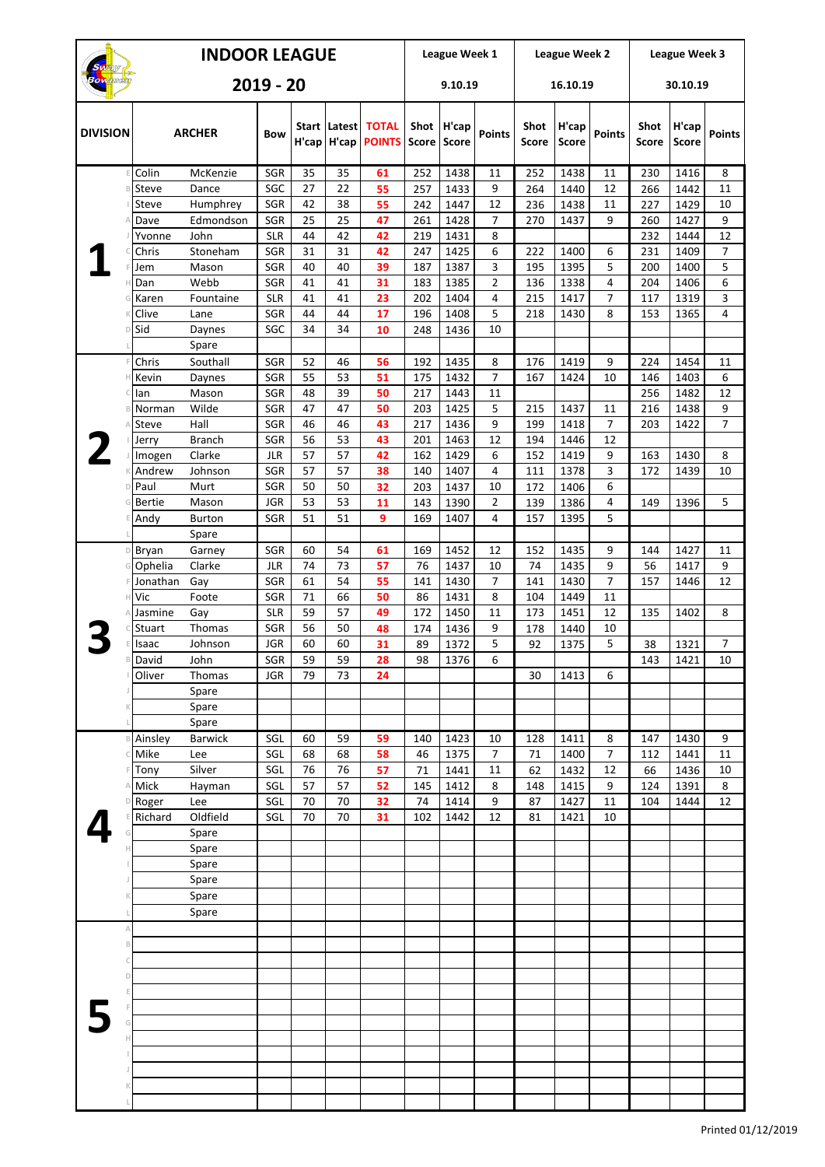| <b>INDOOR LEAGUE</b> |                  |                       |                          |          |                           |                               |                      | League Week 1         |                      |                             | League Week 2         |                     | League Week 3               |                       |                |  |
|----------------------|------------------|-----------------------|--------------------------|----------|---------------------------|-------------------------------|----------------------|-----------------------|----------------------|-----------------------------|-----------------------|---------------------|-----------------------------|-----------------------|----------------|--|
| $2019 - 20$          |                  |                       |                          |          | 9.10.19                   |                               |                      |                       | 16.10.19             |                             | 30.10.19              |                     |                             |                       |                |  |
| <b>DIVISION</b>      |                  | <b>ARCHER</b>         | <b>Bow</b>               | H'cap    | Start   Latest  <br>H'cap | <b>TOTAL</b><br><b>POINTS</b> | Shot<br><b>Score</b> | H'cap<br><b>Score</b> | <b>Points</b>        | <b>Shot</b><br><b>Score</b> | H'cap<br><b>Score</b> | <b>Points</b>       | <b>Shot</b><br><b>Score</b> | H'cap<br><b>Score</b> | <b>Points</b>  |  |
|                      | Colin            | McKenzie              | <b>SGR</b>               | 35       | 35                        | 61                            | 252                  | 1438                  | 11                   | 252                         | 1438                  | 11                  | 230                         | 1416                  | 8              |  |
|                      | Steve            | Dance                 | SGC                      | 27       | 22                        | 55                            | 257                  | 1433                  | 9                    | 264                         | 1440                  | 12                  | 266                         | 1442                  | 11             |  |
|                      | Steve            | Humphrey              | SGR                      | 42       | 38<br>25                  | 55<br>47                      | 242                  | 1447                  | 12<br>$\overline{7}$ | 236                         | 1438                  | 11<br>9             | 227                         | 1429                  | 10             |  |
|                      | Dave<br>Yvonne   | Edmondson<br>John     | <b>SGR</b><br><b>SLR</b> | 25<br>44 | 42                        | 42                            | 261<br>219           | 1428<br>1431          | 8                    | 270                         | 1437                  |                     | 260<br>232                  | 1427<br>1444          | 9<br>12        |  |
|                      | Chris            | Stoneham              | SGR                      | 31       | 31                        | 42                            | 247                  | 1425                  | 6                    | 222                         | 1400                  | 6                   | 231                         | 1409                  | 7              |  |
|                      | Jem              | Mason                 | SGR                      | 40       | 40                        | 39                            | 187                  | 1387                  | 3                    | 195                         | 1395                  | 5                   | 200                         | 1400                  | 5              |  |
|                      | Dan              | Webb                  | <b>SGR</b>               | 41       | 41                        | 31                            | 183                  | 1385                  | 2                    | 136                         | 1338                  | 4                   | 204                         | 1406                  | 6              |  |
|                      | Karen            | Fountaine             | <b>SLR</b>               | 41       | 41                        | 23                            | 202                  | 1404                  | 4                    | 215                         | 1417                  | $\overline{7}$      | 117                         | 1319                  | 3              |  |
|                      | Clive            | Lane                  | <b>SGR</b>               | 44       | 44                        | 17                            | 196                  | 1408                  | 5                    | 218                         | 1430                  | 8                   | 153                         | 1365                  | 4              |  |
|                      | Sid              | Daynes<br>Spare       | SGC                      | 34       | 34                        | 10                            | 248                  | 1436                  | 10                   |                             |                       |                     |                             |                       |                |  |
|                      | Chris            | Southall              | <b>SGR</b>               | 52       | 46                        | 56                            | 192                  | 1435                  | 8                    | 176                         | 1419                  | 9                   | 224                         | 1454                  | 11             |  |
|                      | Kevin            | Daynes                | SGR                      | 55       | 53                        | 51                            | 175                  | 1432                  | $\overline{7}$       | 167                         | 1424                  | 10                  | 146                         | 1403                  | 6              |  |
|                      | lan              | Mason                 | <b>SGR</b>               | 48       | 39                        | 50                            | 217                  | 1443                  | 11                   |                             |                       |                     | 256                         | 1482                  | 12             |  |
|                      | Norman           | Wilde                 | SGR                      | 47       | 47                        | 50                            | 203                  | 1425                  | 5                    | 215                         | 1437                  | 11                  | 216                         | 1438                  | 9              |  |
|                      | Steve            | Hall                  | <b>SGR</b>               | 46       | 46                        | 43                            | 217                  | 1436                  | 9                    | 199                         | 1418                  | $\overline{7}$      | 203                         | 1422                  | $\overline{7}$ |  |
|                      | Jerry            | <b>Branch</b>         | SGR                      | 56       | 53                        | 43                            | 201                  | 1463                  | 12                   | 194                         | 1446                  | 12                  |                             |                       |                |  |
|                      | Imogen<br>Andrew | Clarke<br>Johnson     | <b>JLR</b><br>SGR        | 57<br>57 | 57<br>57                  | 42<br>38                      | 162<br>140           | 1429<br>1407          | 6<br>$\overline{4}$  | 152<br>111                  | 1419<br>1378          | 9<br>3              | 163<br>172                  | 1430<br>1439          | 8<br>10        |  |
| D                    | Paul             | Murt                  | SGR                      | 50       | 50                        | 32                            | 203                  | 1437                  | 10                   | 172                         | 1406                  | 6                   |                             |                       |                |  |
|                      | <b>Bertie</b>    | Mason                 | <b>JGR</b>               | 53       | 53                        | 11                            | 143                  | 1390                  | $\overline{2}$       | 139                         | 1386                  | 4                   | 149                         | 1396                  | 5              |  |
|                      | Andy             | <b>Burton</b>         | <b>SGR</b>               | 51       | 51                        | 9                             | 169                  | 1407                  | 4                    | 157                         | 1395                  | 5                   |                             |                       |                |  |
|                      |                  | Spare                 |                          |          |                           |                               |                      |                       |                      |                             |                       |                     |                             |                       |                |  |
| $\mathsf D$          | <b>Bryan</b>     | Garney                | SGR                      | 60       | 54                        | 61                            | 169                  | 1452                  | 12                   | 152                         | 1435                  | 9                   | 144                         | 1427                  | 11             |  |
|                      | Ophelia          | Clarke                | JLR                      | 74       | 73                        | 57                            | 76                   | 1437                  | 10                   | 74                          | 1435                  | 9                   | 56                          | 1417                  | 9              |  |
|                      | Jonathan         | Gay                   | SGR                      | 61       | 54                        | 55                            | 141                  | 1430                  | 7                    | 141                         | 1430                  | 7                   | 157                         | 1446                  | 12             |  |
|                      | Vic<br>Jasmine   | Foote                 | <b>SGR</b><br><b>SLR</b> | 71<br>59 | 66<br>57                  | 50<br>49                      | 86<br>172            | 1431<br>1450          | 8<br>11              | 104<br>173                  | 1449<br>1451          | 11<br>12            | 135                         | 1402                  | 8              |  |
|                      | <b>Stuart</b>    | Gay<br>Thomas         | <b>SGR</b>               | 56       | 50                        | 48                            | 174                  | 1436                  | 9                    | 178                         | 1440                  | 10                  |                             |                       |                |  |
|                      | Isaac            | Johnson               | <b>JGR</b>               | 60       | 60                        | 31                            | 89                   | 1372                  | 5                    | 92                          | 1375                  | 5                   | 38                          | 1321                  | $\overline{7}$ |  |
| B                    | David            | John                  | SGR                      | 59       | 59                        | 28                            | 98                   | 1376                  | 6                    |                             |                       |                     | 143                         | 1421                  | 10             |  |
|                      | Oliver           | Thomas                | <b>JGR</b>               | 79       | 73                        | 24                            |                      |                       |                      | 30                          | 1413                  | 6                   |                             |                       |                |  |
|                      |                  | Spare                 |                          |          |                           |                               |                      |                       |                      |                             |                       |                     |                             |                       |                |  |
|                      |                  | Spare                 |                          |          |                           |                               |                      |                       |                      |                             |                       |                     |                             |                       |                |  |
|                      |                  | Spare                 |                          |          |                           |                               |                      |                       |                      |                             |                       |                     |                             |                       |                |  |
|                      | Ainsley<br>Mike  | <b>Barwick</b><br>Lee | SGL<br>SGL               | 60<br>68 | 59<br>68                  | 59<br>58                      | 140<br>46            | 1423<br>1375          | 10<br>7              | 128<br>71                   | 1411<br>1400          | 8<br>$\overline{7}$ | 147<br>112                  | 1430<br>1441          | 9<br>11        |  |
|                      | Tony             | Silver                | SGL                      | 76       | 76                        | 57                            | 71                   | 1441                  | 11                   | 62                          | 1432                  | 12                  | 66                          | 1436                  | 10             |  |
|                      | Mick             | Hayman                | SGL                      | 57       | 57                        | 52                            | 145                  | 1412                  | 8                    | 148                         | 1415                  | 9                   | 124                         | 1391                  | 8              |  |
|                      | Roger            | Lee                   | SGL                      | 70       | 70                        | 32                            | 74                   | 1414                  | 9                    | 87                          | 1427                  | 11                  | 104                         | 1444                  | 12             |  |
|                      | Richard          | Oldfield              | SGL                      | 70       | 70                        | 31                            | 102                  | 1442                  | 12                   | 81                          | 1421                  | 10                  |                             |                       |                |  |
|                      |                  | Spare                 |                          |          |                           |                               |                      |                       |                      |                             |                       |                     |                             |                       |                |  |
|                      |                  | Spare                 |                          |          |                           |                               |                      |                       |                      |                             |                       |                     |                             |                       |                |  |
|                      |                  | Spare<br>Spare        |                          |          |                           |                               |                      |                       |                      |                             |                       |                     |                             |                       |                |  |
|                      |                  | Spare                 |                          |          |                           |                               |                      |                       |                      |                             |                       |                     |                             |                       |                |  |
|                      |                  | Spare                 |                          |          |                           |                               |                      |                       |                      |                             |                       |                     |                             |                       |                |  |
| Α                    |                  |                       |                          |          |                           |                               |                      |                       |                      |                             |                       |                     |                             |                       |                |  |
| B                    |                  |                       |                          |          |                           |                               |                      |                       |                      |                             |                       |                     |                             |                       |                |  |
|                      |                  |                       |                          |          |                           |                               |                      |                       |                      |                             |                       |                     |                             |                       |                |  |
| D                    |                  |                       |                          |          |                           |                               |                      |                       |                      |                             |                       |                     |                             |                       |                |  |
|                      |                  |                       |                          |          |                           |                               |                      |                       |                      |                             |                       |                     |                             |                       |                |  |
|                      |                  |                       |                          |          |                           |                               |                      |                       |                      |                             |                       |                     |                             |                       |                |  |
|                      |                  |                       |                          |          |                           |                               |                      |                       |                      |                             |                       |                     |                             |                       |                |  |
|                      |                  |                       |                          |          |                           |                               |                      |                       |                      |                             |                       |                     |                             |                       |                |  |
|                      |                  |                       |                          |          |                           |                               |                      |                       |                      |                             |                       |                     |                             |                       |                |  |
|                      |                  |                       |                          |          |                           |                               |                      |                       |                      |                             |                       |                     |                             |                       |                |  |
|                      |                  |                       |                          |          |                           |                               |                      |                       |                      |                             |                       |                     |                             |                       |                |  |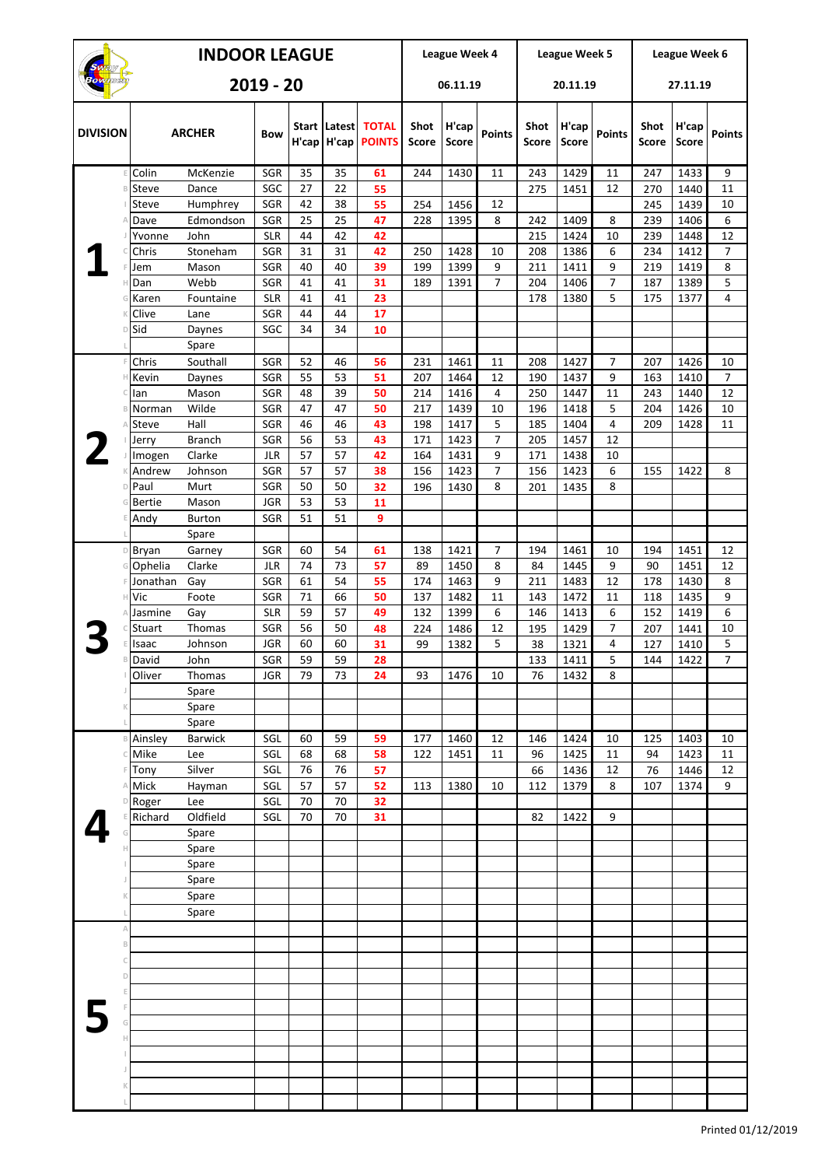| <b>INDOOR LEAGUE</b> |                       |                        |                   |          |                       |                               |               | League Week 4         |                |                             | League Week 5         |                     | League Week 6               |                       |                |  |
|----------------------|-----------------------|------------------------|-------------------|----------|-----------------------|-------------------------------|---------------|-----------------------|----------------|-----------------------------|-----------------------|---------------------|-----------------------------|-----------------------|----------------|--|
| $2019 - 20$          |                       |                        |                   |          |                       | 06.11.19                      |               |                       | 20.11.19       |                             | 27.11.19              |                     |                             |                       |                |  |
| <b>DIVISION</b>      |                       | <b>ARCHER</b>          | <b>Bow</b>        | H'cap    | Start Latest<br>H'cap | <b>TOTAL</b><br><b>POINTS</b> | Shot<br>Score | H'cap<br><b>Score</b> | <b>Points</b>  | <b>Shot</b><br><b>Score</b> | H'cap<br><b>Score</b> | Points              | <b>Shot</b><br><b>Score</b> | H'cap<br><b>Score</b> | <b>Points</b>  |  |
| F                    | Colin                 | McKenzie               | SGR               | 35       | 35                    | 61                            | 244           | 1430                  | 11             | 243                         | 1429                  | 11                  | 247                         | 1433                  | 9              |  |
|                      | Steve                 | Dance                  | SGC<br>SGR        | 27       | 22<br>38              | 55<br>55                      | 254           | 1456                  |                | 275                         | 1451                  | 12                  | 270                         | 1440                  | 11             |  |
|                      | Steve<br>Dave         | Humphrey<br>Edmondson  | SGR               | 42<br>25 | 25                    | 47                            | 228           | 1395                  | 12<br>8        | 242                         | 1409                  | 8                   | 245<br>239                  | 1439<br>1406          | 10<br>6        |  |
|                      | Yvonne                | John                   | <b>SLR</b>        | 44       | 42                    | 42                            |               |                       |                | 215                         | 1424                  | 10                  | 239                         | 1448                  | 12             |  |
|                      | Chris                 | Stoneham               | SGR               | 31       | 31                    | 42                            | 250           | 1428                  | 10             | 208                         | 1386                  | 6                   | 234                         | 1412                  | 7              |  |
|                      | Jem                   | Mason                  | SGR               | 40       | 40                    | 39                            | 199           | 1399                  | 9              | 211                         | 1411                  | 9                   | 219                         | 1419                  | 8              |  |
|                      | Dan<br>Karen          | Webb<br>Fountaine      | SGR<br><b>SLR</b> | 41<br>41 | 41<br>41              | 31<br>23                      | 189           | 1391                  | $\overline{7}$ | 204<br>178                  | 1406<br>1380          | $\overline{7}$<br>5 | 187<br>175                  | 1389<br>1377          | 5<br>4         |  |
|                      | Clive                 | Lane                   | SGR               | 44       | 44                    | 17                            |               |                       |                |                             |                       |                     |                             |                       |                |  |
| D                    | Sid                   | Daynes                 | SGC               | 34       | 34                    | 10                            |               |                       |                |                             |                       |                     |                             |                       |                |  |
|                      |                       | Spare                  |                   |          |                       |                               |               |                       |                |                             |                       |                     |                             |                       |                |  |
|                      | Chris                 | Southall               | SGR               | 52       | 46                    | 56                            | 231           | 1461                  | 11             | 208                         | 1427                  | $\overline{7}$      | 207                         | 1426                  | 10             |  |
| Н                    | Kevin                 | Daynes                 | SGR               | 55       | 53                    | 51                            | 207           | 1464                  | 12             | 190                         | 1437                  | 9                   | 163                         | 1410                  | $\overline{7}$ |  |
| B                    | lan<br>Norman         | Mason<br>Wilde         | SGR<br>SGR        | 48<br>47 | 39<br>47              | 50<br>50                      | 214<br>217    | 1416<br>1439          | 4<br>10        | 250<br>196                  | 1447<br>1418          | 11<br>5             | 243<br>204                  | 1440<br>1426          | 12<br>10       |  |
|                      | Steve                 | Hall                   | SGR               | 46       | 46                    | 43                            | 198           | 1417                  | 5              | 185                         | 1404                  | $\overline{4}$      | 209                         | 1428                  | 11             |  |
|                      | Jerry                 | <b>Branch</b>          | SGR               | 56       | 53                    | 43                            | 171           | 1423                  | $\overline{7}$ | 205                         | 1457                  | 12                  |                             |                       |                |  |
|                      | Imogen                | Clarke                 | <b>JLR</b>        | 57       | 57                    | 42                            | 164           | 1431                  | 9              | 171                         | 1438                  | 10                  |                             |                       |                |  |
|                      | Andrew                | Johnson                | SGR               | 57       | 57                    | 38                            | 156           | 1423                  | $\overline{7}$ | 156                         | 1423                  | 6                   | 155                         | 1422                  | 8              |  |
|                      | Paul                  | Murt                   | SGR               | 50       | 50                    | 32                            | 196           | 1430                  | 8              | 201                         | 1435                  | 8                   |                             |                       |                |  |
|                      | <b>Bertie</b><br>Andy | Mason<br><b>Burton</b> | <b>JGR</b><br>SGR | 53<br>51 | 53<br>51              | 11<br>9                       |               |                       |                |                             |                       |                     |                             |                       |                |  |
|                      |                       | Spare                  |                   |          |                       |                               |               |                       |                |                             |                       |                     |                             |                       |                |  |
| D                    | Bryan                 | Garney                 | SGR               | 60       | 54                    | 61                            | 138           | 1421                  | $\overline{7}$ | 194                         | 1461                  | 10                  | 194                         | 1451                  | 12             |  |
| G                    | Ophelia               | Clarke                 | JLR               | 74       | 73                    | 57                            | 89            | 1450                  | 8              | 84                          | 1445                  | 9                   | 90                          | 1451                  | 12             |  |
|                      | Jonathan              | Gay                    | SGR               | 61       | 54                    | 55                            | 174           | 1463                  | 9              | 211                         | 1483                  | 12                  | 178                         | 1430                  | 8              |  |
| Н                    | Vic                   | Foote                  | SGR               | 71       | 66                    | 50                            | 137           | 1482                  | 11             | 143                         | 1472                  | 11                  | 118                         | 1435                  | 9              |  |
|                      | Jasmine               | Gay                    | <b>SLR</b>        | 59       | 57                    | 49                            | 132           | 1399                  | 6              | 146                         | 1413                  | 6                   | 152                         | 1419                  | 6              |  |
|                      | Stuart<br>Isaac       | Thomas<br>Johnson      | SGR<br><b>JGR</b> | 56<br>60 | 50<br>60              | 48<br>31                      | 224<br>99     | 1486<br>1382          | 12<br>5        | 195<br>38                   | 1429<br>1321          | $\overline{7}$<br>4 | 207<br>127                  | 1441<br>1410          | 10<br>5        |  |
| $\mathbb B$          | David                 | John                   | SGR               | 59       | 59                    | 28                            |               |                       |                | 133                         | 1411                  | 5                   | 144                         | 1422                  | 7              |  |
|                      | Oliver                | Thomas                 | <b>JGR</b>        | 79       | 73                    | 24                            | 93            | 1476                  | 10             | 76                          | 1432                  | 8                   |                             |                       |                |  |
|                      |                       | Spare                  |                   |          |                       |                               |               |                       |                |                             |                       |                     |                             |                       |                |  |
|                      |                       | Spare                  |                   |          |                       |                               |               |                       |                |                             |                       |                     |                             |                       |                |  |
|                      |                       | Spare                  |                   |          |                       |                               |               |                       |                |                             |                       |                     |                             |                       |                |  |
| B                    | Ainsley<br>Mike       | <b>Barwick</b><br>Lee  | SGL<br>SGL        | 60<br>68 | 59<br>68              | 59<br>58                      | 177<br>122    | 1460<br>1451          | 12<br>11       | 146<br>96                   | 1424<br>1425          | 10<br>11            | 125<br>94                   | 1403<br>1423          | 10<br>11       |  |
|                      | Tony                  | Silver                 | SGL               | 76       | 76                    | 57                            |               |                       |                | 66                          | 1436                  | 12                  | 76                          | 1446                  | 12             |  |
|                      | Mick                  | Hayman                 | SGL               | 57       | 57                    | 52                            | 113           | 1380                  | 10             | 112                         | 1379                  | 8                   | 107                         | 1374                  | 9              |  |
|                      | Roger                 | Lee                    | SGL               | 70       | 70                    | 32                            |               |                       |                |                             |                       |                     |                             |                       |                |  |
|                      | Richard               | Oldfield               | SGL               | 70       | 70                    | 31                            |               |                       |                | 82                          | 1422                  | 9                   |                             |                       |                |  |
|                      |                       | Spare<br>Spare         |                   |          |                       |                               |               |                       |                |                             |                       |                     |                             |                       |                |  |
|                      |                       | Spare                  |                   |          |                       |                               |               |                       |                |                             |                       |                     |                             |                       |                |  |
|                      |                       | Spare                  |                   |          |                       |                               |               |                       |                |                             |                       |                     |                             |                       |                |  |
|                      |                       | Spare                  |                   |          |                       |                               |               |                       |                |                             |                       |                     |                             |                       |                |  |
|                      |                       | Spare                  |                   |          |                       |                               |               |                       |                |                             |                       |                     |                             |                       |                |  |
| Α                    |                       |                        |                   |          |                       |                               |               |                       |                |                             |                       |                     |                             |                       |                |  |
| B                    |                       |                        |                   |          |                       |                               |               |                       |                |                             |                       |                     |                             |                       |                |  |
| C<br>D               |                       |                        |                   |          |                       |                               |               |                       |                |                             |                       |                     |                             |                       |                |  |
|                      |                       |                        |                   |          |                       |                               |               |                       |                |                             |                       |                     |                             |                       |                |  |
|                      |                       |                        |                   |          |                       |                               |               |                       |                |                             |                       |                     |                             |                       |                |  |
|                      |                       |                        |                   |          |                       |                               |               |                       |                |                             |                       |                     |                             |                       |                |  |
|                      |                       |                        |                   |          |                       |                               |               |                       |                |                             |                       |                     |                             |                       |                |  |
|                      |                       |                        |                   |          |                       |                               |               |                       |                |                             |                       |                     |                             |                       |                |  |
|                      |                       |                        |                   |          |                       |                               |               |                       |                |                             |                       |                     |                             |                       |                |  |
|                      |                       |                        |                   |          |                       |                               |               |                       |                |                             |                       |                     |                             |                       |                |  |
|                      |                       |                        |                   |          |                       |                               |               |                       |                |                             |                       |                     |                             |                       |                |  |